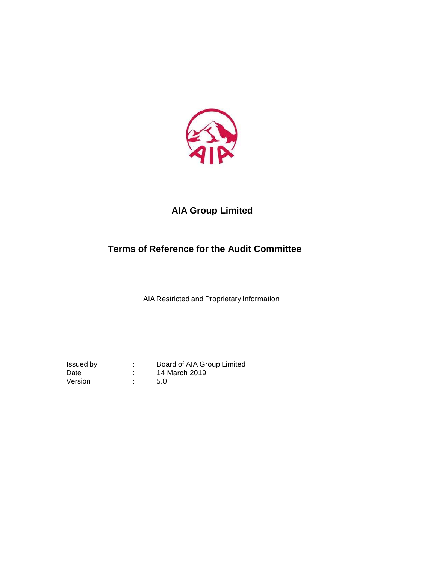

# **AIA Group Limited**

# **Terms of Reference for the Audit Committee**

AIA Restricted and Proprietary Information

Issued by : Board of AIA Group Limited Date : 14 March 2019 Version : 5.0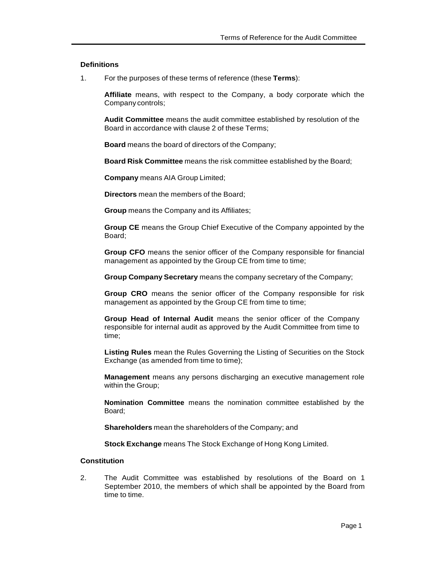## **Definitions**

1. For the purposes of these terms of reference (these **Terms**):

**Affiliate** means, with respect to the Company, a body corporate which the Company controls;

**Audit Committee** means the audit committee established by resolution of the Board in accordance with clause 2 of these Terms;

**Board** means the board of directors of the Company;

**Board Risk Committee** means the risk committee established by the Board;

**Company** means AIA Group Limited;

**Directors** mean the members of the Board;

**Group** means the Company and its Affiliates;

**Group CE** means the Group Chief Executive of the Company appointed by the Board;

**Group CFO** means the senior officer of the Company responsible for financial management as appointed by the Group CE from time to time;

**Group Company Secretary** means the company secretary of the Company;

**Group CRO** means the senior officer of the Company responsible for risk management as appointed by the Group CE from time to time;

**Group Head of Internal Audit** means the senior officer of the Company responsible for internal audit as approved by the Audit Committee from time to time;

**Listing Rules** mean the Rules Governing the Listing of Securities on the Stock Exchange (as amended from time to time);

**Management** means any persons discharging an executive management role within the Group;

**Nomination Committee** means the nomination committee established by the Board;

**Shareholders** mean the shareholders of the Company; and

**Stock Exchange** means The Stock Exchange of Hong Kong Limited.

# **Constitution**

2. The Audit Committee was established by resolutions of the Board on 1 September 2010, the members of which shall be appointed by the Board from time to time.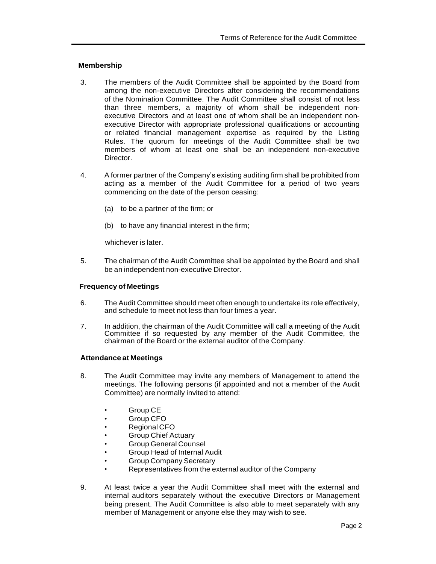# **Membership**

- 3. The members of the Audit Committee shall be appointed by the Board from among the non-executive Directors after considering the recommendations of the Nomination Committee. The Audit Committee shall consist of not less than three members, a majority of whom shall be independent nonexecutive Directors and at least one of whom shall be an independent nonexecutive Director with appropriate professional qualifications or accounting or related financial management expertise as required by the Listing Rules. The quorum for meetings of the Audit Committee shall be two members of whom at least one shall be an independent non-executive Director.
- 4. A former partner of the Company's existing auditing firm shall be prohibited from acting as a member of the Audit Committee for a period of two years commencing on the date of the person ceasing:
	- (a) to be a partner of the firm; or
	- (b) to have any financial interest in the firm;

whichever is later.

5. The chairman of the Audit Committee shall be appointed by the Board and shall be an independent non-executive Director.

## **Frequency of Meetings**

- 6. The Audit Committee should meet often enough to undertake its role effectively, and schedule to meet not less than four times a year.
- 7. In addition, the chairman of the Audit Committee will call a meeting of the Audit Committee if so requested by any member of the Audit Committee, the chairman of the Board or the external auditor of the Company.

## **Attendance at Meetings**

- 8. The Audit Committee may invite any members of Management to attend the meetings. The following persons (if appointed and not a member of the Audit Committee) are normally invited to attend:
	- Group CE
	- Group CFO
	- Regional CFO
	- Group Chief Actuary
	- Group General Counsel
	- Group Head of Internal Audit
	- Group Company Secretary
	- Representatives from the external auditor of the Company
- 9. At least twice a year the Audit Committee shall meet with the external and internal auditors separately without the executive Directors or Management being present. The Audit Committee is also able to meet separately with any member of Management or anyone else they may wish to see.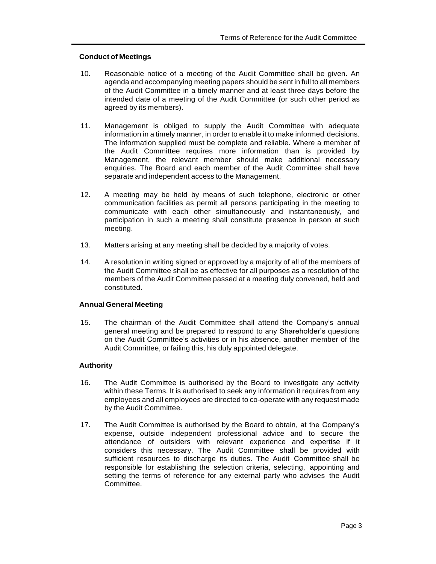# **Conduct of Meetings**

- 10. Reasonable notice of a meeting of the Audit Committee shall be given. An agenda and accompanying meeting papers should be sent in full to all members of the Audit Committee in a timely manner and at least three days before the intended date of a meeting of the Audit Committee (or such other period as agreed by its members).
- 11. Management is obliged to supply the Audit Committee with adequate information in a timely manner, in order to enable it to make informed decisions. The information supplied must be complete and reliable. Where a member of the Audit Committee requires more information than is provided by Management, the relevant member should make additional necessary enquiries. The Board and each member of the Audit Committee shall have separate and independent access to the Management.
- 12. A meeting may be held by means of such telephone, electronic or other communication facilities as permit all persons participating in the meeting to communicate with each other simultaneously and instantaneously, and participation in such a meeting shall constitute presence in person at such meeting.
- 13. Matters arising at any meeting shall be decided by a majority of votes.
- 14. A resolution in writing signed or approved by a majority of all of the members of the Audit Committee shall be as effective for all purposes as a resolution of the members of the Audit Committee passed at a meeting duly convened, held and constituted.

## **Annual General Meeting**

15. The chairman of the Audit Committee shall attend the Company's annual general meeting and be prepared to respond to any Shareholder's questions on the Audit Committee's activities or in his absence, another member of the Audit Committee, or failing this, his duly appointed delegate.

# **Authority**

- 16. The Audit Committee is authorised by the Board to investigate any activity within these Terms. It is authorised to seek any information it requires from any employees and all employees are directed to co-operate with any request made by the Audit Committee.
- 17. The Audit Committee is authorised by the Board to obtain, at the Company's expense, outside independent professional advice and to secure the attendance of outsiders with relevant experience and expertise if it considers this necessary. The Audit Committee shall be provided with sufficient resources to discharge its duties. The Audit Committee shall be responsible for establishing the selection criteria, selecting, appointing and setting the terms of reference for any external party who advises the Audit Committee.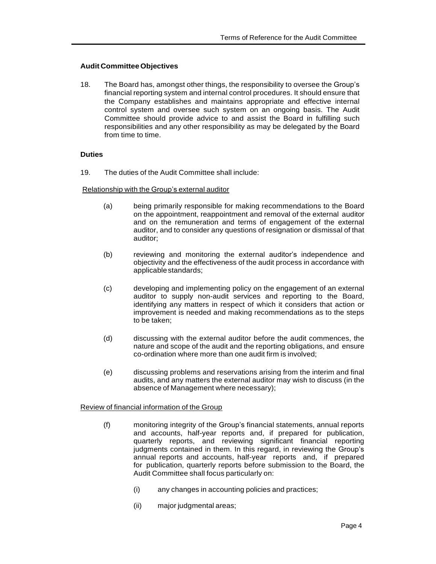# **Audit Committee Objectives**

18. The Board has, amongst other things, the responsibility to oversee the Group's financial reporting system and internal control procedures. It should ensure that the Company establishes and maintains appropriate and effective internal control system and oversee such system on an ongoing basis. The Audit Committee should provide advice to and assist the Board in fulfilling such responsibilities and any other responsibility as may be delegated by the Board from time to time.

# **Duties**

19. The duties of the Audit Committee shall include:

Relationship with the Group's external auditor

- (a) being primarily responsible for making recommendations to the Board on the appointment, reappointment and removal of the external auditor and on the remuneration and terms of engagement of the external auditor, and to consider any questions of resignation or dismissal of that auditor;
- (b) reviewing and monitoring the external auditor's independence and objectivity and the effectiveness of the audit process in accordance with applicablestandards;
- (c) developing and implementing policy on the engagement of an external auditor to supply non-audit services and reporting to the Board, identifying any matters in respect of which it considers that action or improvement is needed and making recommendations as to the steps to be taken;
- (d) discussing with the external auditor before the audit commences, the nature and scope of the audit and the reporting obligations, and ensure co-ordination where more than one audit firm is involved;
- (e) discussing problems and reservations arising from the interim and final audits, and any matters the external auditor may wish to discuss (in the absence of Management where necessary);

Review of financial information of the Group

- (f) monitoring integrity of the Group's financial statements, annual reports and accounts, half-year reports and, if prepared for publication, quarterly reports, and reviewing significant financial reporting judgments contained in them. In this regard, in reviewing the Group's annual reports and accounts, half-year reports and, if prepared for publication, quarterly reports before submission to the Board, the Audit Committee shall focus particularly on:
	- (i) any changes in accounting policies and practices;
	- (ii) major judgmental areas;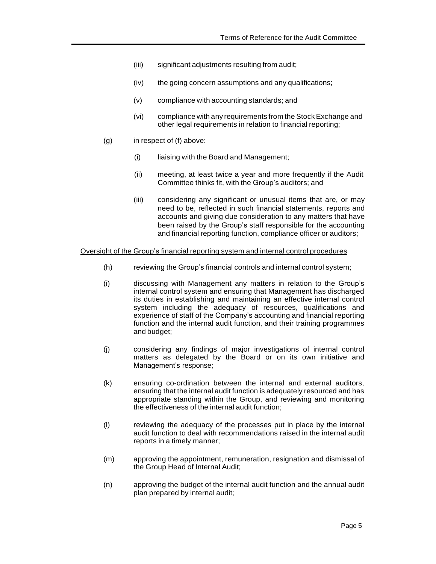- (iii) significant adjustments resulting from audit;
- (iv) the going concern assumptions and any qualifications;
- (v) compliance with accounting standards; and
- (vi) compliance with any requirements from the Stock Exchange and other legal requirements in relation to financial reporting;
- $(q)$  in respect of  $(f)$  above:
	- (i) liaising with the Board and Management;
	- (ii) meeting, at least twice a year and more frequently if the Audit Committee thinks fit, with the Group's auditors; and
	- (iii) considering any significant or unusual items that are, or may need to be, reflected in such financial statements, reports and accounts and giving due consideration to any matters that have been raised by the Group's staff responsible for the accounting and financial reporting function, compliance officer or auditors;

## Oversight of the Group's financial reporting system and internal control procedures

- (h) reviewing the Group's financial controls and internal control system;
- (i) discussing with Management any matters in relation to the Group's internal control system and ensuring that Management has discharged its duties in establishing and maintaining an effective internal control system including the adequacy of resources, qualifications and experience of staff of the Company's accounting and financial reporting function and the internal audit function, and their training programmes and budget;
- (j) considering any findings of major investigations of internal control matters as delegated by the Board or on its own initiative and Management's response;
- (k) ensuring co-ordination between the internal and external auditors, ensuring that the internal audit function is adequately resourced and has appropriate standing within the Group, and reviewing and monitoring the effectiveness of the internal audit function;
- (l) reviewing the adequacy of the processes put in place by the internal audit function to deal with recommendations raised in the internal audit reports in a timely manner;
- (m) approving the appointment, remuneration, resignation and dismissal of the Group Head of Internal Audit;
- (n) approving the budget of the internal audit function and the annual audit plan prepared by internal audit;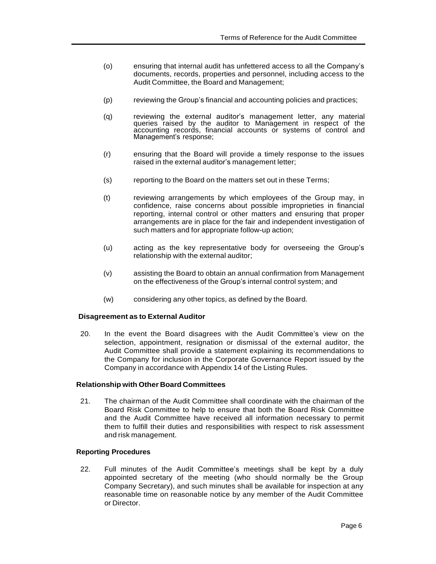- (o) ensuring that internal audit has unfettered access to all the Company's documents, records, properties and personnel, including access to the Audit Committee, the Board and Management;
- (p) reviewing the Group's financial and accounting policies and practices;
- (q) reviewing the external auditor's management letter, any material queries raised by the auditor to Management in respect of the accounting records, financial accounts or systems of control and Management's response;
- (r) ensuring that the Board will provide a timely response to the issues raised in the external auditor's management letter;
- (s) reporting to the Board on the matters set out in these Terms;
- (t) reviewing arrangements by which employees of the Group may, in confidence, raise concerns about possible improprieties in financial reporting, internal control or other matters and ensuring that proper arrangements are in place for the fair and independent investigation of such matters and for appropriate follow-up action;
- (u) acting as the key representative body for overseeing the Group's relationship with the external auditor;
- (v) assisting the Board to obtain an annual confirmation from Management on the effectiveness of the Group's internal control system; and
- (w) considering any other topics, as defined by the Board.

## **Disagreement as to External Auditor**

20. In the event the Board disagrees with the Audit Committee's view on the selection, appointment, resignation or dismissal of the external auditor, the Audit Committee shall provide a statement explaining its recommendations to the Company for inclusion in the Corporate Governance Report issued by the Company in accordance with Appendix 14 of the Listing Rules.

## **Relationship with Other Board Committees**

21. The chairman of the Audit Committee shall coordinate with the chairman of the Board Risk Committee to help to ensure that both the Board Risk Committee and the Audit Committee have received all information necessary to permit them to fulfill their duties and responsibilities with respect to risk assessment and risk management.

## **Reporting Procedures**

22. Full minutes of the Audit Committee's meetings shall be kept by a duly appointed secretary of the meeting (who should normally be the Group Company Secretary), and such minutes shall be available for inspection at any reasonable time on reasonable notice by any member of the Audit Committee or Director.